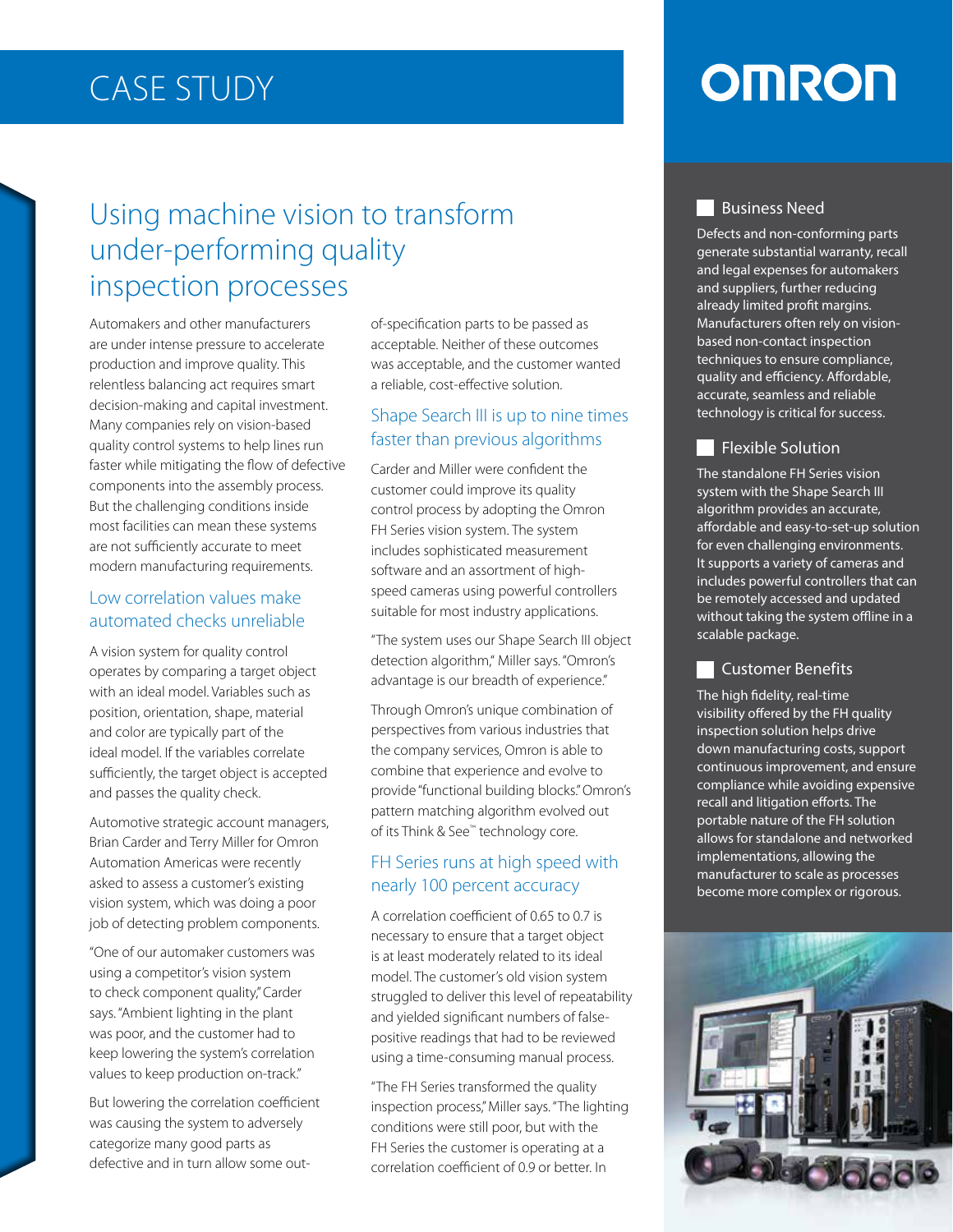# **CASE STUDY**

# Using machine vision to transform under-performing quality inspection processes

Automakers and other manufacturers are under intense pressure to accelerate production and improve quality. This relentless balancing act requires smart decision-making and capital investment. Many companies rely on vision-based quality control systems to help lines run faster while mitigating the flow of defective components into the assembly process. But the challenging conditions inside most facilities can mean these systems are not sufficiently accurate to meet modern manufacturing requirements.

#### Low correlation values make automated checks unreliable

A vision system for quality control operates by comparing a target object with an ideal model. Variables such as position, orientation, shape, material and color are typically part of the ideal model. If the variables correlate sufficiently, the target object is accepted and passes the quality check.

Automotive strategic account managers, Brian Carder and Terry Miller for Omron Automation Americas were recently asked to assess a customer's existing vision system, which was doing a poor job of detecting problem components.

"One of our automaker customers was using a competitor's vision system to check component quality," Carder says. "Ambient lighting in the plant was poor, and the customer had to keep lowering the system's correlation values to keep production on-track."

But lowering the correlation coefficient was causing the system to adversely categorize many good parts as defective and in turn allow some outacceptable. Neither of these outcomes was acceptable, and the customer wanted a reliable, cost-effective solution.

### Shape Search III is up to nine times faster than previous algorithms

Carder and Miller were confident the customer could improve its quality control process by adopting the Omron FH Series vision system. The system includes sophisticated measurement speed cameras using powerful controllers software and an assortment of highsuitable for most industry applications.

"The system uses our Shape Search III object detection algorithm," Miller says. "Omron's advantage is our breadth of experience."

Through Omron's unique combination of perspectives from various industries that the company services, Omron is able to combine that experience and evolve to provide "functional building blocks." Omron's pattern matching algorithm evolved out of its Think & See<sup>™</sup> technology core.

# FH Series runs at high speed with nearly 100 percent accuracy

state and the passed as a coeptable. Neither of these outcomes<br>state as acceptable, and the customer was acceptable, and the customer was acceptable, and the customer was areliable, cost-effective solution.<br>The specifical A correlation coefficient of 0.65 to 0.7 is necessary to ensure that a target object is at least moderately related to its ideal model. The customer's old vision system struggled to deliver this level of repeatability positive readings that had to be reviewed and yielded significant numbers of falseusing a time-consuming manual process.

"The FH Series transformed the quality inspection process," Miller says. "The lighting conditions were still poor, but with the FH Series the customer is operating at a  $\alpha$  correlation  $\alpha$  of  $\alpha$  of 0.9 or better  $\alpha$ 

# **OMRON**

#### **Business Need**

Defects and non-conforming parts generate substantial warranty, recall and legal expenses for automakers and suppliers, further reducing already limited profit margins. Manufacturers often rely on vision-<br>based non-contact inspection techniques to ensure compliance, quality and efficiency. Affordable, accurate, seamless and reliable technology is critical for success.

### **Flexible Solution**

The standalone FH Series vision system with the Shape Search III algorithm provides an accurate, affordable and easy-to-set-up solution for even challenging environments. It supports a variety of cameras and includes powerful controllers that can be remotely accessed and updated without taking the system offline in a scalable package.

#### **Customer Benefits**

The high fidelity, real-time visibility offered by the FH quality inspection solution helps drive down manufacturing costs, support continuous improvement, and ensure compliance while avoiding expensive recall and litigation efforts. The portable nature of the FH solution allows for standalone and networked implementations, allowing the manufacturer to scale as processes become more complex or rigorous.